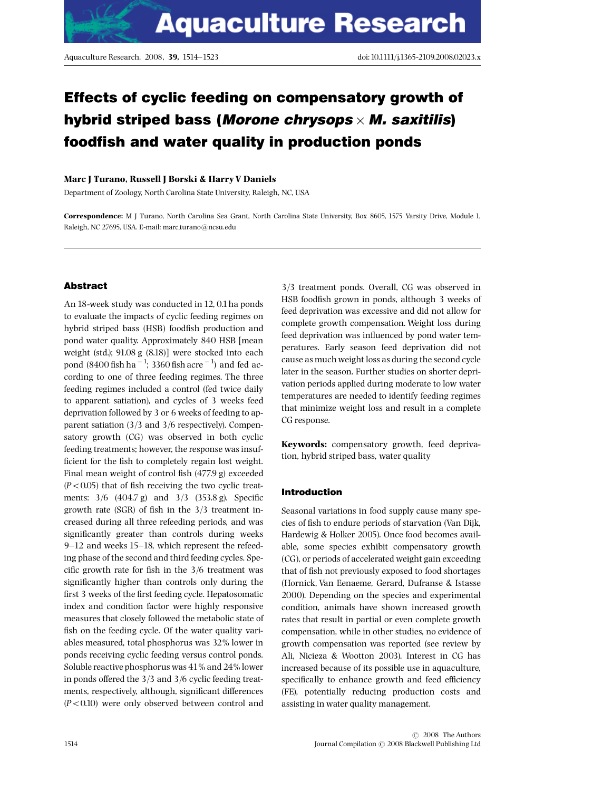# Effects of cyclic feeding on compensatory growth of hybrid striped bass (Morone chrysops  $\times$  M. saxitilis) foodfish and water quality in production ponds

### Marc J Turano, Russell J Borski & Harry V Daniels

Department of Zoology, North Carolina State University, Raleigh, NC, USA

Correspondence: M J Turano, North Carolina Sea Grant, North Carolina State University, Box 8605, 1575 Varsity Drive, Module 1, Raleigh, NC 27695, USA. E-mail: marc.turano@ncsu.edu

# Abstract

An 18-week study was conducted in 12, 0.1ha ponds to evaluate the impacts of cyclic feeding regimes on hybrid striped bass (HSB) foodfish production and pond water quality. Approximately 840 HSB [mean weight (std.); 91.08 g (8.18)] were stocked into each pond (8400 fish ha $^{-1}$ ; 3360 fish acre $^{-1})$  and fed according to one of three feeding regimes. The three feeding regimes included a control (fed twice daily to apparent satiation), and cycles of 3 weeks feed deprivation followed by 3 or 6 weeks of feeding to apparent satiation (3/3 and 3/6 respectively). Compensatory growth (CG) was observed in both cyclic feeding treatments; however, the response was insuf ficient for the fish to completely regain lost weight. Final mean weight of control fish  $(477.9 g)$  exceeded  $(P<0.05)$  that of fish receiving the two cyclic treatments:  $3/6$   $(404.7 \text{ g})$  and  $3/3$   $(353.8 \text{ g})$ . Specific growth rate (SGR) of fish in the  $3/3$  treatment increased during all three refeeding periods, and was significantly greater than controls during weeks  $9-12$  and weeks 15–18, which represent the refeeding phase of the second and third feeding cycles. Specific growth rate for fish in the  $3/6$  treatment was significantly higher than controls only during the first 3 weeks of the first feeding cycle. Hepatosomatic index and condition factor were highly responsive measures that closely followed the metabolic state of fish on the feeding cycle. Of the water quality variables measured, total phosphorus was 32% lower in ponds receiving cyclic feeding versus control ponds. Soluble reactive phosphorus was 41% and 24% lower in ponds offered the  $3/3$  and  $3/6$  cyclic feeding treatments, respectively, although, significant differences  $(P<0.10)$  were only observed between control and

3/3 treatment ponds. Overall, CG was observed in HSB foodfish grown in ponds, although 3 weeks of feed deprivation was excessive and did not allow for complete growth compensation. Weight loss during feed deprivation was influenced by pond water temperatures. Early season feed deprivation did not cause as much weight loss as during the second cycle later in the season. Further studies on shorter deprivation periods applied during moderate to low water temperatures are needed to identify feeding regimes that minimize weight loss and result in a complete CG response.

Keywords: compensatory growth, feed deprivation, hybrid striped bass, water quality

# Introduction

Seasonal variations in food supply cause many species of fish to endure periods of starvation (Van Dijk, Hardewig & Holker 2005). Once food becomes available, some species exhibit compensatory growth (CG), or periods of accelerated weight gain exceeding that of fish not previously exposed to food shortages (Hornick, Van Eenaeme, Gerard, Dufranse & Istasse 2000). Depending on the species and experimental condition, animals have shown increased growth rates that result in partial or even complete growth compensation, while in other studies, no evidence of growth compensation was reported (see review by Ali, Nicieza & Wootton 2003). Interest in CG has increased because of its possible use in aquaculture, specifically to enhance growth and feed efficiency (FE), potentially reducing production costs and assisting in water quality management.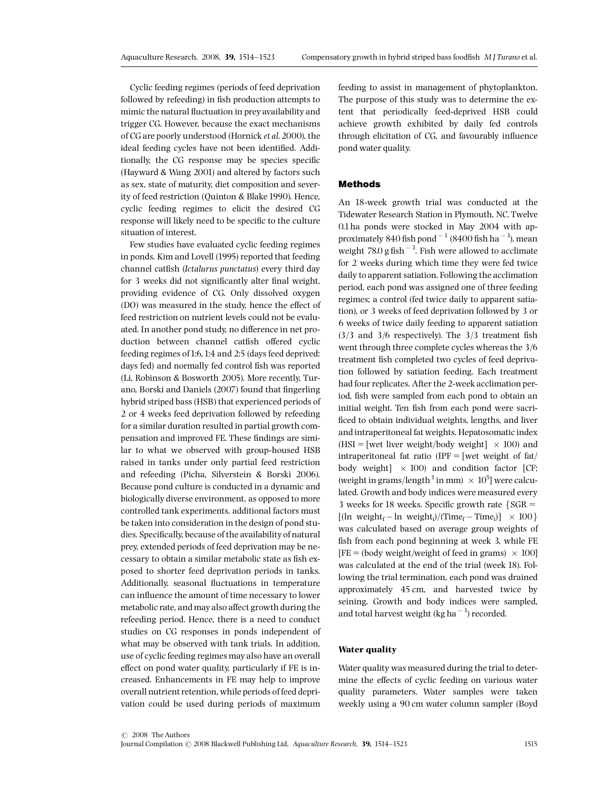Cyclic feeding regimes (periods of feed deprivation followed by refeeding) in fish production attempts to mimic the natural fluctuation in prey availability and trigger CG. However, because the exact mechanisms of CG are poorly understood (Hornick et al. 2000), the ideal feeding cycles have not been identified. Additionally, the CG response may be species specific (Hayward & Wang 2001) and altered by factors such as sex, state of maturity, diet composition and severity of feed restriction (Quinton & Blake 1990). Hence, cyclic feeding regimes to elicit the desired CG response will likely need to be specific to the culture situation of interest.

Few studies have evaluated cyclic feeding regimes in ponds. Kim and Lovell (1995) reported that feeding channel catfish (Ictalurus punctatus) every third day for 3 weeks did not significantly alter final weight, providing evidence of CG. Only dissolved oxygen (DO) was measured in the study, hence the effect of feed restriction on nutrient levels could not be evaluated. In another pond study, no difference in net production between channel catfish offered cyclic feeding regimes of 1:6, 1:4 and 2:5 (days feed deprived: days fed) and normally fed control fish was reported (Li, Robinson & Bosworth 2005). More recently, Turano, Borski and Daniels (2007) found that fingerling hybrid striped bass (HSB) that experienced periods of 2 or 4 weeks feed deprivation followed by refeeding for a similar duration resulted in partial growth compensation and improved FE. These findings are similar to what we observed with group-housed HSB raised in tanks under only partial feed restriction and refeeding (Picha, Silverstein & Borski 2006). Because pond culture is conducted in a dynamic and biologically diverse environment, as opposed to more controlled tank experiments, additional factors must be taken into consideration in the design of pond studies. Specifically, because of the availability of natural prey, extended periods of feed deprivation may be necessary to obtain a similar metabolic state as fish exposed to shorter feed deprivation periods in tanks. Additionally, seasonal fluctuations in temperature can influence the amount of time necessary to lower metabolic rate, and may also affect growth during the refeeding period. Hence, there is a need to conduct studies on CG responses in ponds independent of what may be observed with tank trials. In addition, use of cyclic feeding regimes may also have an overall effect on pond water quality, particularly if FE is increased. Enhancements in FE may help to improve overall nutrient retention, while periods of feed deprivation could be used during periods of maximum

feeding to assist in management of phytoplankton. The purpose of this study was to determine the extent that periodically feed-deprived HSB could achieve growth exhibited by daily fed controls through elicitation of CG, and favourably influence pond water quality.

#### Methods

An 18-week growth trial was conducted at the Tidewater Research Station in Plymouth, NC. Twelve 0.1ha ponds were stocked in May 2004 with approximately 840 fish pond  $^{-1}$  (8400 fish ha  $^{-1}$ ), mean weight  $78.0$  g fish<sup>-1</sup>. Fish were allowed to acclimate for 2 weeks during which time they were fed twice daily to apparent satiation. Following the acclimation period, each pond was assigned one of three feeding regimes; a control (fed twice daily to apparent satiation), or 3 weeks of feed deprivation followed by 3 or 6 weeks of twice daily feeding to apparent satiation  $(3/3$  and  $3/6$  respectively). The  $3/3$  treatment fish went through three complete cycles whereas the 3/6 treatment fish completed two cycles of feed deprivation followed by satiation feeding. Each treatment had four replicates. After the 2-week acclimation period, fish were sampled from each pond to obtain an initial weight. Ten fish from each pond were sacrificed to obtain individual weights, lengths, and liver and intraperitoneal fat weights. Hepatosomatic index (HSI = [wet liver weight/body weight]  $\times$  100) and intraperitoneal fat ratio (IPF = [wet weight of fat/ body weight $] \times 100$  and condition factor [CF; (weight in grams/length<sup>3</sup> in mm)  $\times$  10<sup>5</sup>] were calculated. Growth and body indices were measured every 3 weeks for 18 weeks. Specific growth rate  $\{SGR =$  $[(\ln \text{weight}_{f} - \ln \text{weight}_{i})/(\text{Time}_{f} - \text{Time}_{i})] \times 100$ was calculated based on average group weights of fish from each pond beginning at week 3, while FE  $[FE = (body weight/weight of feed in grams) \times 100]$ was calculated at the end of the trial (week 18). Following the trial termination, each pond was drained approximately 45 cm, and harvested twice by seining. Growth and body indices were sampled, and total harvest weight (kg ha<sup> $-1$ </sup>) recorded.

## Water quality

Water quality was measured during the trial to determine the effects of cyclic feeding on various water quality parameters. Water samples were taken weekly using a 90 cm water column sampler (Boyd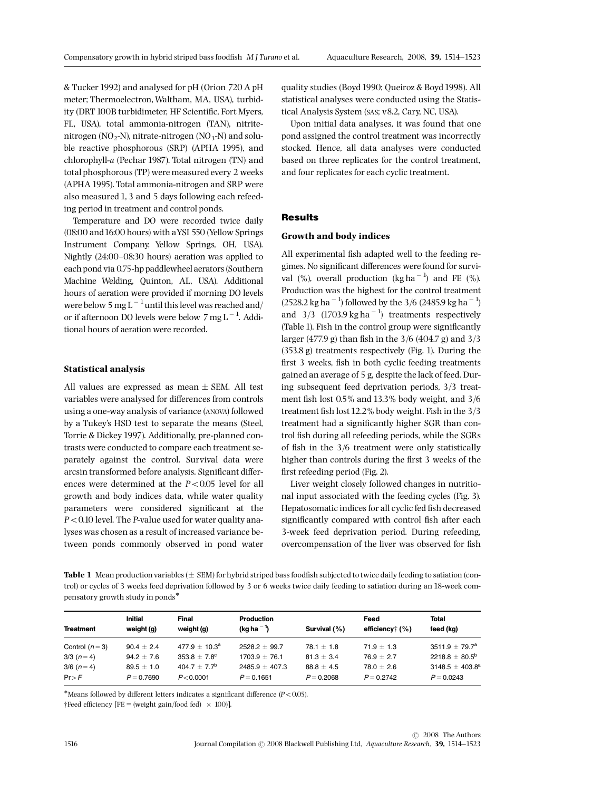& Tucker 1992) and analysed for pH (Orion 720 A pH meter; Thermoelectron,Waltham, MA, USA), turbidity (DRT 100B turbidimeter, HF Scientific, Fort Myers, FL, USA), total ammonia-nitrogen (TAN), nitritenitrogen (NO<sub>2</sub>-N), nitrate-nitrogen (NO<sub>3</sub>-N) and soluble reactive phosphorous (SRP) (APHA 1995), and chlorophyll-a (Pechar 1987). Total nitrogen (TN) and total phosphorous (TP) were measured every 2 weeks (APHA 1995). Total ammonia-nitrogen and SRP were also measured 1, 3 and 5 days following each refeeding period in treatment and control ponds.

Temperature and DO were recorded twice daily (08:00 and16:00 hours) with aYSI 550 (Yellow Springs Instrument Company, Yellow Springs, OH, USA). Nightly (24:00-08:30 hours) aeration was applied to each pond via 0.75-hp paddlewheel aerators (Southern Machine Welding, Quinton, AL, USA). Additional hours of aeration were provided if morning DO levels were below  $5~\text{mg}$  L  $^{-1}$  until this level was reached and/ or if afternoon DO levels were below  $7 \text{ mg L}^{-1}$ . Additional hours of aeration were recorded.

# Statistical analysis

All values are expressed as mean  $\pm$  SEM. All test variables were analysed for differences from controls using a one-way analysis of variance (ANOVA) followed by a Tukey's HSD test to separate the means (Steel, Torrie & Dickey 1997). Additionally, pre-planned contrasts were conducted to compare each treatment separately against the control. Survival data were arcsin transformed before analysis. Significant differences were determined at the  $P < 0.05$  level for all growth and body indices data, while water quality parameters were considered significant at the  $P < 0.10$  level. The P-value used for water quality analyses was chosen as a result of increased variance between ponds commonly observed in pond water quality studies (Boyd 1990; Queiroz & Boyd 1998). All statistical analyses were conducted using the Statistical Analysis System (SAS; v8.2, Cary, NC, USA).

Upon initial data analyses, it was found that one pond assigned the control treatment was incorrectly stocked. Hence, all data analyses were conducted based on three replicates for the control treatment, and four replicates for each cyclic treatment.

# Results

#### Growth and body indices

All experimental fish adapted well to the feeding regimes. No significant differences were found for survival  $(\%)$ , overall production  $(kg ha<sup>-1</sup>)$  and FE  $(\%)$ . Production was the highest for the control treatment  $(2528.2 \text{ kg ha}^{-1})$  followed by the 3/6  $(2485.9 \text{ kg ha}^{-1})$ and  $3/3$  (1703.9 kg ha<sup>-1</sup>) treatments respectively (Table 1). Fish in the control group were significantly larger (477.9 g) than fish in the  $3/6$  (404.7 g) and  $3/3$ (353.8 g) treatments respectively (Fig. 1). During the first 3 weeks, fish in both cyclic feeding treatments gained an average of 5 g, despite the lack of feed. During subsequent feed deprivation periods, 3/3 treatment fish lost 0.5% and 13.3% body weight, and 3/6 treatment fish lost 12.2% body weight. Fish in the 3/3 treatment had a significantly higher SGR than control fish during all refeeding periods, while the SGRs of fish in the  $3/6$  treatment were only statistically higher than controls during the first 3 weeks of the first refeeding period (Fig. 2).

Liver weight closely followed changes in nutritional input associated with the feeding cycles (Fig. 3). Hepatosomatic indices for all cyclic fed fish decreased significantly compared with control fish after each 3-week feed deprivation period. During refeeding, overcompensation of the liver was observed for fish

Table 1 Mean production variables  $(\pm$  SEM) for hybrid striped bass foodfish subjected to twice daily feeding to satiation (control) or cycles of 3 weeks feed deprivation followed by 3 or 6 weeks twice daily feeding to satiation during an 18-week compensatory growth study in ponds

| feed (kg)                          |
|------------------------------------|
| $3511.9 \pm 79.7^a$                |
| $2218.8 \pm 80.5^b$                |
| $3148.5 + 403.8^a$<br>$P = 0.0243$ |
|                                    |

\*Means followed by different letters indicates a significant difference  $(P<0.05)$ .

 $\dagger$ Feed efficiency [FE = (weight gain/food fed)  $\times$  100)].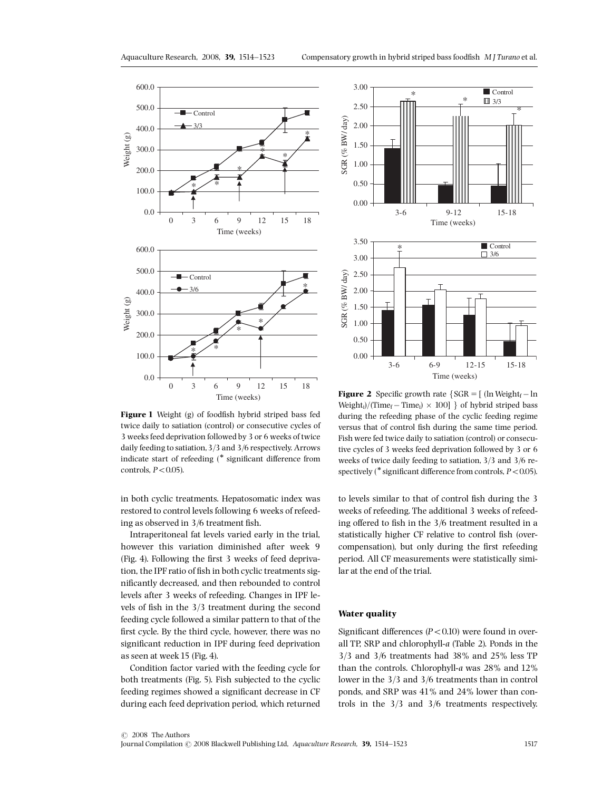

Figure 1 Weight (g) of foodfish hybrid striped bass fed twice daily to satiation (control) or consecutive cycles of 3 weeks feed deprivation followed by 3 or 6 weeks of twice daily feeding to satiation,3/3 and 3/6 respectively. Arrows indicate start of refeeding  $(*$  significant difference from controls,  $P < 0.05$ ).

in both cyclic treatments. Hepatosomatic index was restored to control levels following 6 weeks of refeeding as observed in  $3/6$  treatment fish.

Intraperitoneal fat levels varied early in the trial, however this variation diminished after week 9 (Fig. 4). Following the ¢rst 3 weeks of feed deprivation, the IPF ratio of fish in both cyclic treatments significantly decreased, and then rebounded to control levels after 3 weeks of refeeding. Changes in IPF levels of fish in the  $3/3$  treatment during the second feeding cycle followed a similar pattern to that of the first cycle. By the third cycle, however, there was no significant reduction in IPF during feed deprivation as seen at week 15 (Fig. 4).

Condition factor varied with the feeding cycle for both treatments (Fig. 5). Fish subjected to the cyclic feeding regimes showed a significant decrease in CF during each feed deprivation period, which returned



**Figure 2** Specific growth rate  $\{SGR = [(\ln Weight_f - \ln \theta)$  $Weight_i$ /(Time<sub>f</sub> – Time<sub>i</sub>) × 100] } of hybrid striped bass during the refeeding phase of the cyclic feeding regime versus that of control fish during the same time period. Fish were fed twice daily to satiation (control) or consecutive cycles of 3 weeks feed deprivation followed by 3 or 6 weeks of twice daily feeding to satiation, 3/3 and 3/6 respectively (\* significant difference from controls,  $P < 0.05$ ).

to levels similar to that of control fish during the 3 weeks of refeeding. The additional 3 weeks of refeeding offered to fish in the  $3/6$  treatment resulted in a statistically higher CF relative to control fish (overcompensation), but only during the first refeeding period. All CF measurements were statistically similar at the end of the trial.

# Water quality

Significant differences  $(P<0.10)$  were found in overall TP, SRP and chlorophyll-a (Table 2). Ponds in the 3/3 and 3/6 treatments had 38% and 25% less TP than the controls. Chlorophyll-a was 28% and 12% lower in the 3/3 and 3/6 treatments than in control ponds, and SRP was 41% and 24% lower than controls in the 3/3 and 3/6 treatments respectively.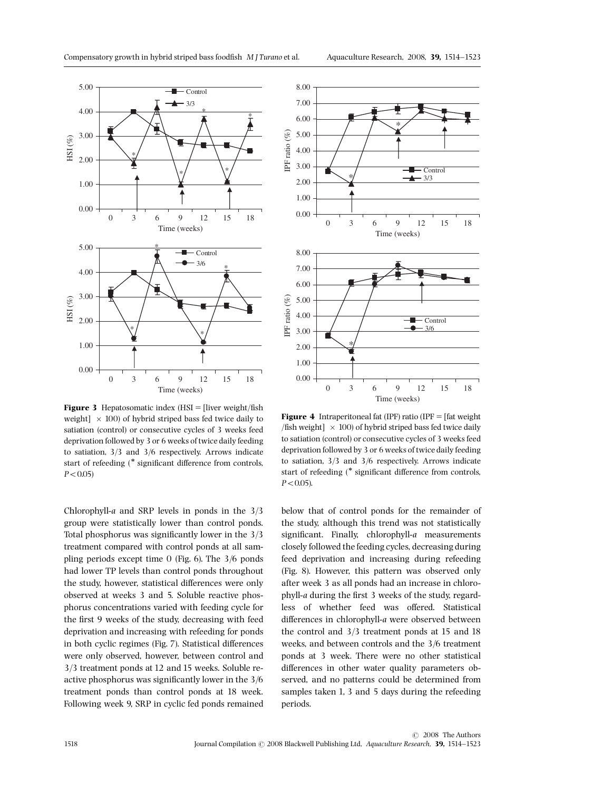



**Figure 3** Hepatosomatic index  $(HSI =$  [liver weight/fish] weight]  $\times$  100) of hybrid striped bass fed twice daily to satiation (control) or consecutive cycles of 3 weeks feed deprivation followed by 3 or 6 weeks of twice daily feeding to satiation, 3/3 and 3/6 respectively. Arrows indicate start of refeeding  $(*$  significant difference from controls,  $P < 0.05$ )

Chlorophyll-a and SRP levels in ponds in the 3/3 group were statistically lower than control ponds. Total phosphorus was significantly lower in the  $3/3$ treatment compared with control ponds at all sampling periods except time 0 (Fig. 6). The 3/6 ponds had lower TP levels than control ponds throughout the study, however, statistical differences were only observed at weeks 3 and 5. Soluble reactive phosphorus concentrations varied with feeding cycle for the first 9 weeks of the study, decreasing with feed deprivation and increasing with refeeding for ponds in both cyclic regimes (Fig. 7). Statistical differences were only observed, however, between control and 3/3 treatment ponds at 12 and 15 weeks. Soluble reactive phosphorus was significantly lower in the  $3/6$ treatment ponds than control ponds at 18 week. Following week 9, SRP in cyclic fed ponds remained

**Figure 4** Intraperitoneal fat (IPF) ratio (IPF  $=$  [fat weight /fish weight]  $\times$  100) of hybrid striped bass fed twice daily to satiation (control) or consecutive cycles of 3 weeks feed deprivation followed by 3 or 6 weeks of twice daily feeding to satiation, 3/3 and 3/6 respectively. Arrows indicate start of refeeding (\* significant difference from controls,  $P < 0.05$ ).

below that of control ponds for the remainder of the study, although this trend was not statistically significant. Finally, chlorophyll- $a$  measurements closely followed the feeding cycles, decreasing during feed deprivation and increasing during refeeding (Fig. 8). However, this pattern was observed only after week 3 as all ponds had an increase in chlorophyll-a during the first 3 weeks of the study, regardless of whether feed was offered. Statistical differences in chlorophyll-a were observed between the control and 3/3 treatment ponds at 15 and 18 weeks, and between controls and the 3/6 treatment ponds at 3 week. There were no other statistical differences in other water quality parameters observed, and no patterns could be determined from samples taken 1, 3 and 5 days during the refeeding periods.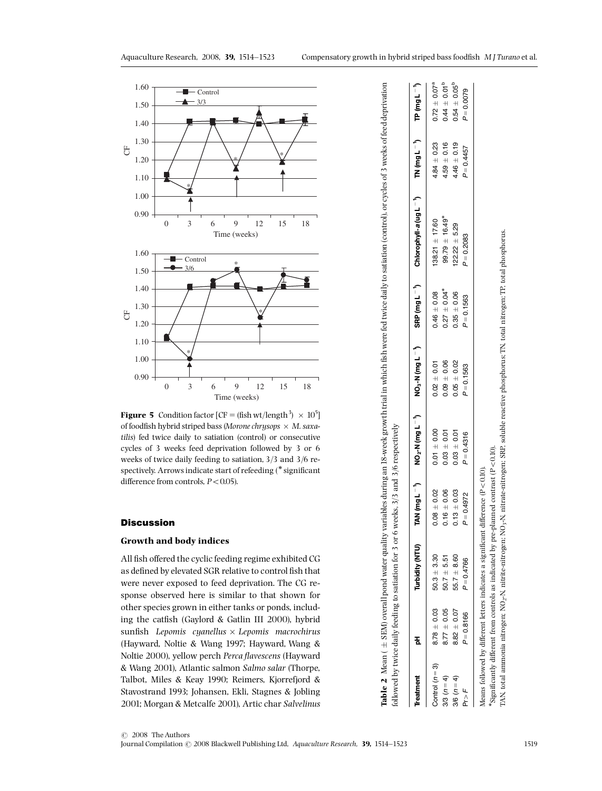

**Figure 5** Condition factor  $[CF = (fish wt/length^3) \times 10^5]$ of foodfish hybrid striped bass (Morone chrysops  $\times$  M. saxatilis) fed twice daily to satiation (control) or consecutive cycles of 3 weeks feed deprivation followed by 3 or 6 weeks of twice daily feeding to satiation, 3/3 and 3/6 respectively. Arrows indicate start of refeeding (\* significant difference from controls,  $P < 0.05$ ).

# **Discussion**

# Growth and body indices

All fish offered the cyclic feeding regime exhibited CG as defined by elevated SGR relative to control fish that were never exposed to feed deprivation. The CG response observed here is similar to that shown for other species grown in either tanks or ponds, including the catfish (Gaylord & Gatlin III 2000), hybrid sunfish Lepomis cyanellus  $\times$  Lepomis macrochirus (Hayward, Noltie & Wang 1997; Hayward, Wang & Noltie 2000), yellow perch Perca flavescens (Hayward & Wang 2001), Atlantic salmon Salmo salar (Thorpe, Talbot, Miles & Keay 1990; Reimers, Kjorrefjord & Stavostrand 1993; Johansen, Ekli, Stagnes & Jobling 2001; Morgan & Metcalfe 2001), Artic char Salvelinus

|                   |                 | ollowed by twice daily feeding to satiation for 3 or 6 weeks, 3/3 and 3/6 respectively |                |                                                                                                            |                 |                              | <b>Table 2</b> Mean ( $\pm$ SBM) overall pond water quality variables during an 18-week growth trial in which fish were fed twice daily to satiation (control), or cycles of 3 weeks of feed deprivation |                 |                              |
|-------------------|-----------------|----------------------------------------------------------------------------------------|----------------|------------------------------------------------------------------------------------------------------------|-----------------|------------------------------|----------------------------------------------------------------------------------------------------------------------------------------------------------------------------------------------------------|-----------------|------------------------------|
| <b>Treatment</b>  | ㅎ               | Turbidity (NTU)                                                                        |                | AN $(\text{mg } L^{-1})$ NO <sub>2</sub> -N $(\text{mg } L^{-1})$ NO <sub>3</sub> -N $(\text{mg } L^{-1})$ |                 |                              | SRP (mg L ¯ )   Chlorophyll-a (ug L ¯ )   TN (mg L ¯ )    TP (mg L ¯ )                                                                                                                                   |                 |                              |
| Control $(n=3)$   | $8.78 \pm 0.03$ | $50.3 + 3.30$                                                                          | $0.08 + 0.02$  | $0.01 + 0.00$                                                                                              | $0.02 \pm 0.01$ | $0.46 \pm 0.08$              | $138.21 \pm 17.60$                                                                                                                                                                                       | $4.84 \pm 0.23$ | $0.72 \pm 0.07^a$            |
| $3/3(n=4)$        | $8.77 \pm 0.05$ | $50.7 + 5.51$                                                                          | $.16 \pm 0.06$ | $0.03 \pm 0.01$                                                                                            | $0.09 \pm 0.06$ | $0.27 \pm 0.04$ <sup>*</sup> | $99.79 \pm 16.49$ <sup>*</sup>                                                                                                                                                                           | $4.59 \pm 0.16$ | $0.44 \pm 0.01^{\mathrm{b}}$ |
| $(6(n=4)$         | $8.82 + 0.07$   | $55.7 \pm 8.60$                                                                        | $.13 \pm 0.03$ | $0.03 \pm 0.01$                                                                                            | $0.05 \pm 0.02$ | $0.35 \pm 0.06$              | $22.22 \pm 5.29$                                                                                                                                                                                         | $4.46 \pm 0.19$ | $0.54 \pm 0.05^{p}$          |
| $\frac{1}{2} < 1$ | $P = 0.8166$    | $P = 0.4766$                                                                           | $= 0.4972$     | $P = 0.4316$                                                                                               | $P = 0.1563$    | $P = 0.1563$                 | $P = 0.2083$                                                                                                                                                                                             | $P = 0.4457$    | $P = 0.0079$                 |

IAN, total ammonia nitrogen: NO<sub>7</sub>-N, nitrite-nitrogen: NO<sub>3</sub>-N, nitrate-nitrogen: SRP, soluble reactive phosphorus; TN, total nitrogen: TP, total phosphorus Significantly different from controls as indicated by pre-planned contrast ( $P < 0.10$ ).  $*$ Significantly different from controls as indicated by pre-planned contrast (P

TAN, total ammonia nitrogen; NO2-N, nitrite-nitrogen; NO3-N, nitrate-nitrogen; SRP, soluble reactive phosphorus; TN, total nitrogen; TP, total phosphorus.

Means followed by different letters indicates a significant difference (P Means followed by different letters indicates a significant difference ( $P < 0.10$ ).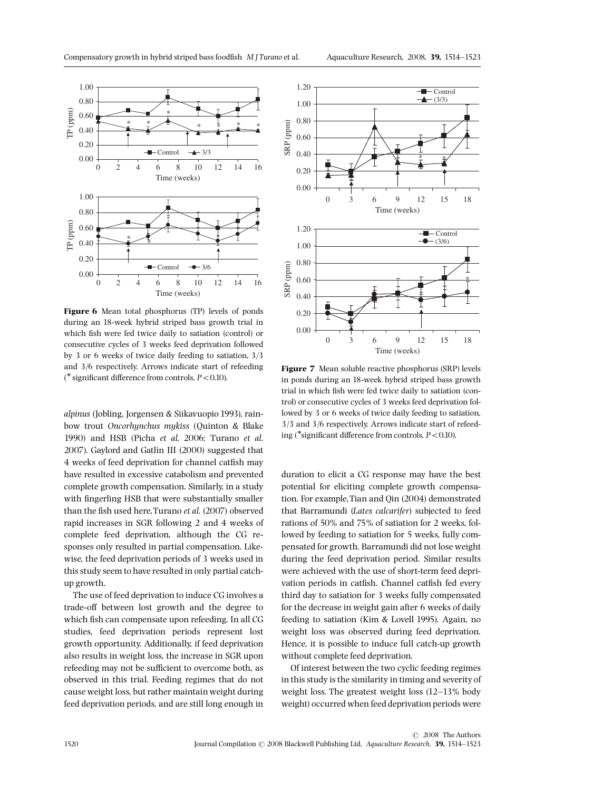

Figure 6 Mean total phosphorus (TP) levels of ponds during an 18-week hybrid striped bass growth trial in which fish were fed twice daily to satiation (control) or consecutive cycles of 3 weeks feed deprivation followed by 3 or 6 weeks of twice daily feeding to satiation, 3/3 and 3/6 respectively. Arrows indicate start of refeeding  $(*$  significant difference from controls,  $P < 0.10$ ).

alpinus (Jobling, Jorgensen & Siikavuopio 1993), rainbow trout Oncorhynchus mykiss (Quinton & Blake 1990) and HSB (Picha et al. 2006; Turano et al. 2007). Gaylord and Gatlin III (2000) suggested that 4 weeks of feed deprivation for channel catfish may have resulted in excessive catabolism and prevented complete growth compensation. Similarly, in a study with fingerling HSB that were substantially smaller than the fish used here, Turano et al. (2007) observed rapid increases in SGR following 2 and 4 weeks of complete feed deprivation, although the CG responses only resulted in partial compensation. Likewise, the feed deprivation periods of 3 weeks used in this study seem to have resulted in only partial catchup growth.

The use of feed deprivation to induce CG involves a trade-off between lost growth and the degree to which fish can compensate upon refeeding. In all CG studies, feed deprivation periods represent lost growth opportunity. Additionally, if feed deprivation also results in weight loss, the increase in SGR upon refeeding may not be sufficient to overcome both, as observed in this trial. Feeding regimes that do not cause weight loss, but rather maintain weight during feed deprivation periods, and are still long enough in





Figure 7 Mean soluble reactive phosphorus (SRP) levels in ponds during an 18-week hybrid striped bass growth trial in which fish were fed twice daily to satiation (control) or consecutive cycles of 3 weeks feed deprivation followed by 3 or 6 weeks of twice daily feeding to satiation, 3/3 and 3/6 respectively. Arrows indicate start of refeeding (\*significant difference from controls,  $P < 0.10$ ).

duration to elicit a CG response may have the best potential for eliciting complete growth compensation. For example,Tian and Qin (2004) demonstrated that Barramundi (Lates calcarifer) subjected to feed rations of 50% and 75% of satiation for 2 weeks, followed by feeding to satiation for 5 weeks, fully compensated for growth. Barramundi did not lose weight during the feed deprivation period. Similar results were achieved with the use of short-term feed deprivation periods in catfish. Channel catfish fed every third day to satiation for 3 weeks fully compensated for the decrease in weight gain after 6 weeks of daily feeding to satiation (Kim & Lovell 1995). Again, no weight loss was observed during feed deprivation. Hence, it is possible to induce full catch-up growth without complete feed deprivation.

Of interest between the two cyclic feeding regimes in this study is the similarity in timing and severity of weight loss. The greatest weight loss  $(12-13\%$  body weight) occurred when feed deprivation periods were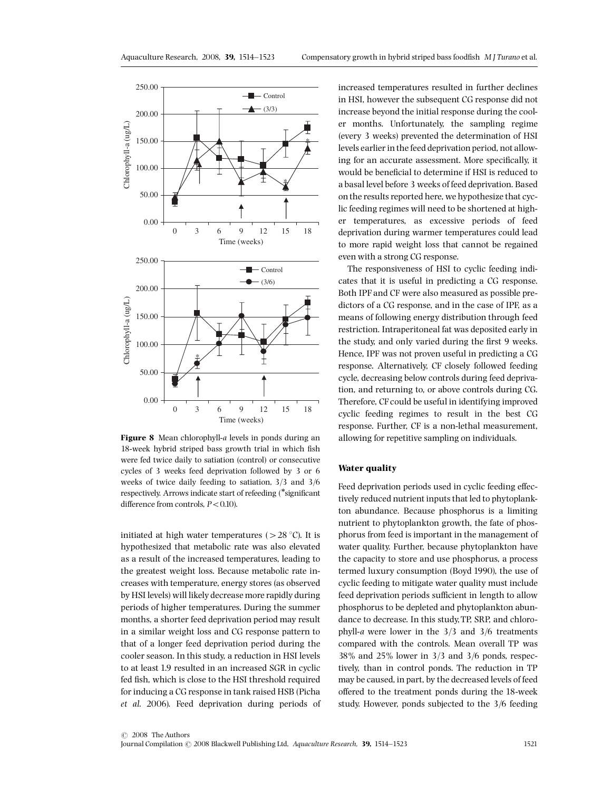

Figure 8 Mean chlorophyll-a levels in ponds during an 18-week hybrid striped bass growth trial in which fish were fed twice daily to satiation (control) or consecutive cycles of 3 weeks feed deprivation followed by 3 or 6 weeks of twice daily feeding to satiation, 3/3 and 3/6 respectively. Arrows indicate start of refeeding (\*significant difference from controls,  $P < 0.10$ ).

initiated at high water temperatures ( $> 28 \degree C$ ). It is hypothesized that metabolic rate was also elevated as a result of the increased temperatures, leading to the greatest weight loss. Because metabolic rate increases with temperature, energy stores (as observed by HSI levels) will likely decrease more rapidly during periods of higher temperatures. During the summer months, a shorter feed deprivation period may result in a similar weight loss and CG response pattern to that of a longer feed deprivation period during the cooler season. In this study, a reduction in HSI levels to at least 1.9 resulted in an increased SGR in cyclic fed fish, which is close to the HSI threshold required for inducing a CG response in tank raised HSB (Picha et al. 2006). Feed deprivation during periods of increased temperatures resulted in further declines in HSI, however the subsequent CG response did not increase beyond the initial response during the cooler months. Unfortunately, the sampling regime (every 3 weeks) prevented the determination of HSI levels earlier in the feed deprivation period, not allowing for an accurate assessment. More specifically, it would be beneficial to determine if HSI is reduced to a basal level before 3 weeks of feed deprivation. Based on the results reported here, we hypothesize that cyclic feeding regimes will need to be shortened at higher temperatures, as excessive periods of feed deprivation during warmer temperatures could lead to more rapid weight loss that cannot be regained even with a strong CG response.

The responsiveness of HSI to cyclic feeding indicates that it is useful in predicting a CG response. Both IPF and CF were also measured as possible predictors of a CG response, and in the case of IPF, as a means of following energy distribution through feed restriction. Intraperitoneal fat was deposited early in the study, and only varied during the first 9 weeks. Hence, IPF was not proven useful in predicting a CG response. Alternatively, CF closely followed feeding cycle, decreasing below controls during feed deprivation, and returning to, or above controls during CG. Therefore, CF could be useful in identifying improved cyclic feeding regimes to result in the best CG response. Further, CF is a non-lethal measurement, allowing for repetitive sampling on individuals.

#### Water quality

Feed deprivation periods used in cyclic feeding effectively reduced nutrient inputs that led to phytoplankton abundance. Because phosphorus is a limiting nutrient to phytoplankton growth, the fate of phosphorus from feed is important in the management of water quality. Further, because phytoplankton have the capacity to store and use phosphorus, a process termed luxury consumption (Boyd 1990), the use of cyclic feeding to mitigate water quality must include feed deprivation periods sufficient in length to allow phosphorus to be depleted and phytoplankton abundance to decrease. In this study,TP, SRP, and chlorophyll-a were lower in the 3/3 and 3/6 treatments compared with the controls. Mean overall TP was 38% and 25% lower in 3/3 and 3/6 ponds, respectively, than in control ponds. The reduction in TP may be caused, in part, by the decreased levels of feed offered to the treatment ponds during the 18-week study. However, ponds subjected to the 3/6 feeding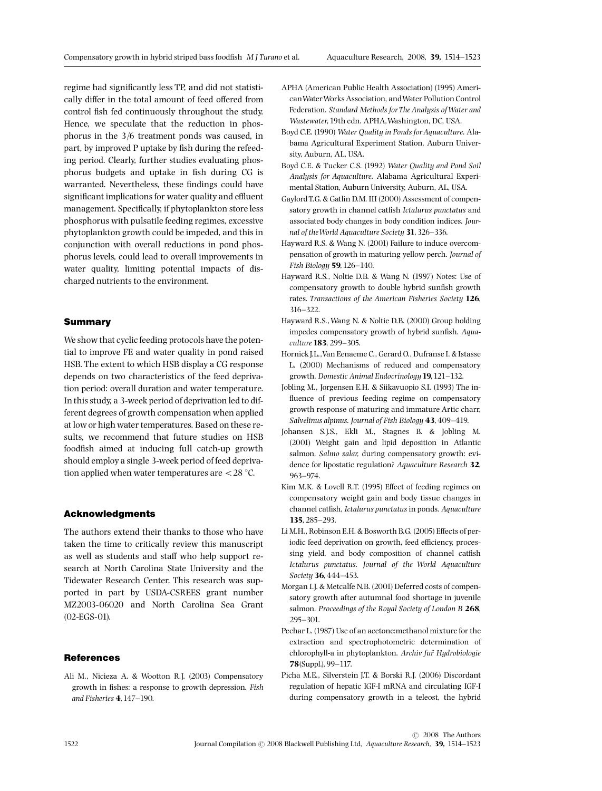regime had significantly less TP, and did not statistically differ in the total amount of feed offered from control fish fed continuously throughout the study. Hence, we speculate that the reduction in phosphorus in the 3/6 treatment ponds was caused, in part, by improved P uptake by fish during the refeeding period. Clearly, further studies evaluating phosphorus budgets and uptake in fish during CG is warranted. Nevertheless, these findings could have significant implications for water quality and effluent management. Specifically, if phytoplankton store less phosphorus with pulsatile feeding regimes, excessive phytoplankton growth could be impeded, and this in conjunction with overall reductions in pond phosphorus levels, could lead to overall improvements in water quality, limiting potential impacts of discharged nutrients to the environment.

#### Summary

We show that cyclic feeding protocols have the potential to improve FE and water quality in pond raised HSB. The extent to which HSB display a CG response depends on two characteristics of the feed deprivation period: overall duration and water temperature. In this study, a 3-week period of deprivation led to different degrees of growth compensation when applied at low or high water temperatures. Based on these results, we recommend that future studies on HSB foodfish aimed at inducing full catch-up growth should employ a single 3-week period of feed deprivation applied when water temperatures are  $\langle 28 \degree C$ .

#### Acknowledgments

The authors extend their thanks to those who have taken the time to critically review this manuscript as well as students and staff who help support research at North Carolina State University and the Tidewater Research Center. This research was supported in part by USDA-CSREES grant number MZ2003-06020 and North Carolina Sea Grant (02-EGS-01).

#### **References**

Ali M., Nicieza A. & Wootton R.J. (2003) Compensatory growth in fishes: a response to growth depression. Fish and Fisheries 4, 147-190.

- APHA (American Public Health Association) (1995) AmericanWaterWorks Association, andWater Pollution Control Federation. Standard Methods for The Analysis of Water and Wastewater,19th edn. APHA,Washington, DC, USA.
- Boyd C.E. (1990) Water Quality in Ponds for Aquaculture. Alabama Agricultural Experiment Station, Auburn University, Auburn, AL, USA.
- Boyd C.E. & Tucker C.S. (1992) Water Quality and Pond Soil Analysis for Aquaculture. Alabama Agricultural Experimental Station, Auburn University, Auburn, AL, USA.
- Gaylord T.G. & Gatlin D.M. III (2000) Assessment of compensatory growth in channel catfish Ictalurus punctatus and associated body changes in body condition indices. Journal of the World Aquaculture Society 31, 326-336.
- Hayward R.S. & Wang N. (2001) Failure to induce overcompensation of growth in maturing yellow perch. Journal of Fish Biology **59**, 126-140.
- Hayward R.S., Noltie D.B. & Wang N. (1997) Notes: Use of compensatory growth to double hybrid sunfish growth rates. Transactions of the American Fisheries Society 126, 316-322.
- Hayward R.S.,Wang N. & Noltie D.B. (2000) Group holding impedes compensatory growth of hybrid sunfish. Aquaculture 183, 299-305.
- Hornick J.L.,Van Eenaeme C., Gerard O., Dufranse I. & Istasse L. (2000) Mechanisms of reduced and compensatory growth. Domestic Animal Endocrinology 19, 121-132.
- Jobling M., Jorgensen E.H. & Siikavuopio S.I. (1993) The in fluence of previous feeding regime on compensatory growth response of maturing and immature Artic charr, Salvelinus alpinus. Journal of Fish Biology 43, 409-419.
- Johansen S.J.S., Ekli M., Stagnes B. & Jobling M. (2001) Weight gain and lipid deposition in Atlantic salmon, Salmo salar, during compensatory growth: evidence for lipostatic regulation? Aquaculture Research 32, 963^974.
- Kim M.K. & Lovell R.T. (1995) Effect of feeding regimes on compensatory weight gain and body tissue changes in channel catfish, Ictalurus punctatus in ponds. Aquaculture 135, 285^293.
- Li M.H., Robinson E.H. & Bosworth B.G. (2005) Effects of periodic feed deprivation on growth, feed efficiency, processing yield, and body composition of channel catfish Ictalurus punctatus. Journal of the World Aquaculture Society 36, 444-453.
- Morgan I.J. & Metcalfe N.B. (2001) Deferred costs of compensatory growth after autumnal food shortage in juvenile salmon. Proceedings of the Royal Society of London B 268, 295^301.
- Pechar L. (1987) Use of an acetone:methanol mixture for the extraction and spectrophotometric determination of chlorophyll-a in phytoplankton. Archiv fur Hydrobiologie 78(Suppl.), 99^117.
- Picha M.E., Silverstein J.T. & Borski R.J. (2006) Discordant regulation of hepatic IGF-I mRNA and circulating IGF-I during compensatory growth in a teleost, the hybrid